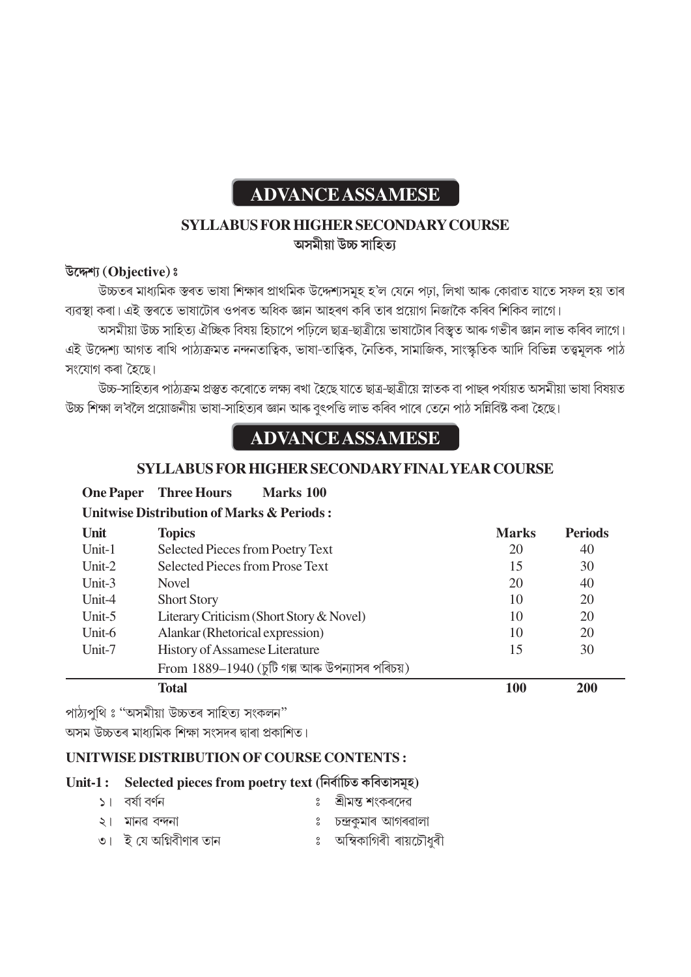# **ADVANCE ASSAMESE**

### **SYLLABUS FOR HIGHER SECONDARY COURSE** অসমীয়া উচ্চ সাহিত্য

#### **ά◊ÀV˙… [Objective] –**

উচ্চতৰ মাধ্যমিক স্তৰত ভাষা শিক্ষাৰ প্ৰাথমিক উদ্দেশ্যসমূহ হ'ল যেনে পঢ়া, লিখা আৰু কোৱাত যাতে সফল হয় তাৰ ব্যৱস্থা কৰা। এই স্তৰতে ভাষাটোৰ ওপৰত অধিক জ্ঞান আহৰণ কৰি তাৰ প্ৰয়োগ নিজাকৈ কৰিব শিকিব লাগে।

'অসমীয়া উচ্চ সাহিত্য ঐচ্ছিক বিষয় হিচাপে পঢ়িলে ছাত্ৰ-ছাত্ৰীয়ে ভাষাটোৰ বিস্তুত আৰু গভীৰ জ্ঞান লাভ কৰিব লাগে। এই উদ্দেশ্য আগত ৰাখি পাঠ্যক্ৰমত নন্দনতাত্বিক, ভাষা-তাত্বিক, নৈতিক, সামাজিক, সাংস্কৃতিক আদি বিভিন্ন তত্ত্বমূলক পাঠ সংযোগ কৰা হৈছে।

উচ্চ-সাহিতাৰ পাঠাক্ৰম প্ৰস্তুত কৰোতে লক্ষ্য ৰখা *হৈছে* যাতে ছাত্ৰ-ছাত্ৰীয়ে স্নাতক বা পাছৰ পৰ্যায়ত অসমীয়া ভাষা বিষয়ত উচ্চ শিক্ষা ল'বলৈ প্ৰয়োজনীয় ভাষা-সাহিত্যৰ জ্ঞান আৰু বুৎপত্তি লাভ কৰিব পাৰে তেনে পাঠ সন্নিবিষ্ট কৰা হৈছে।

## **ADVANCE ASSAMESE**

#### **SYLLABUS FOR HIGHER SECONDARY FINAL YEAR COURSE**

**One Paper Three Hours Marks 100** 

#### **Unitwise Distribution of Marks & Periods :**

| Unit      | <b>Topics</b>                                    | <b>Marks</b> | <b>Periods</b> |
|-----------|--------------------------------------------------|--------------|----------------|
| Unit-1    | Selected Pieces from Poetry Text                 | 20           | 40             |
| Unit- $2$ | Selected Pieces from Prose Text                  | 15           | 30             |
| Unit- $3$ | <b>Novel</b>                                     | 20           | 40             |
| Unit-4    | <b>Short Story</b>                               | 10           | 20             |
| Unit- $5$ | Literary Criticism (Short Story & Novel)         | 10           | 20             |
| Unit-6    | Alankar (Rhetorical expression)                  | 10           | 20             |
| Unit-7    | <b>History of Assamese Literature</b>            | 15           | 30             |
|           | From $1889-1940$ (চুটি গল্প আৰু উপন্যাসৰ পৰিচয়) |              |                |
|           | <b>Total</b>                                     | 100          | 200            |

পাঠ্যপৃথি ঃ "অসমীয়া উচ্চতৰ সাহিত্য সংকলন"

অসম উচ্চতৰ মাধ্যমিক শিক্ষা সংসদৰ দ্বাৰা প্ৰকাশিত।

#### **UNITWISE DISTRIBUTION OF COURSE CONTENTS :**

#### Unit-1 : Selected pieces from poetry text (নিৰ্বাচিত কবিতাসমূহ)

| ১। বর্ষা বর্ণন         | ঃ শ্ৰীমন্ত শংকৰদেৱ       |
|------------------------|--------------------------|
| ২। মানৱ বন্দনা         | ঃ চন্দ্ৰকুমাৰ আগৰৱালা    |
| ৩। ই যে অগ্নিবীণাৰ তান | ঃ অম্বিকাগিৰী ৰায়চৌধুৰী |